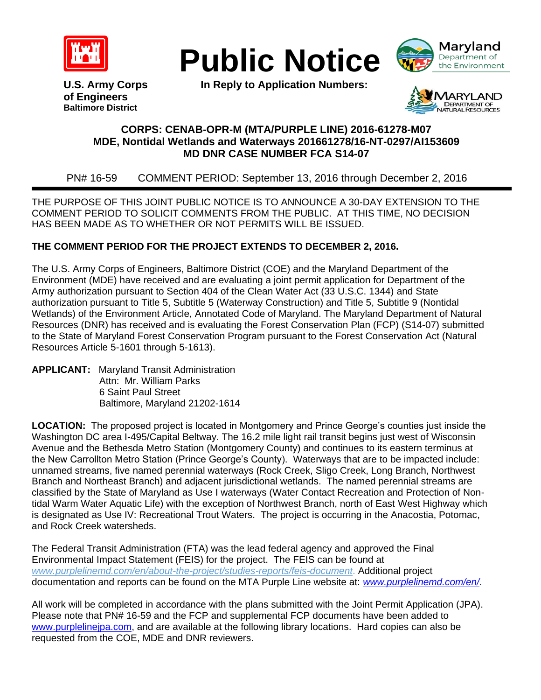





**U.S. Army Corps In Reply to Application Numbers: of Engineers Baltimore District**

**ARY LAND**<br>DEPARTMENT OF<br>FURAL RESOURCES

## **CORPS: CENAB-OPR-M (MTA/PURPLE LINE) 2016-61278-M07 MDE, Nontidal Wetlands and Waterways 201661278/16-NT-0297/AI153609 MD DNR CASE NUMBER FCA S14-07**

PN# 16-59 COMMENT PERIOD: September 13, 2016 through December 2, 2016

THE PURPOSE OF THIS JOINT PUBLIC NOTICE IS TO ANNOUNCE A 30-DAY EXTENSION TO THE COMMENT PERIOD TO SOLICIT COMMENTS FROM THE PUBLIC. AT THIS TIME, NO DECISION HAS BEEN MADE AS TO WHETHER OR NOT PERMITS WILL BE ISSUED.

## **THE COMMENT PERIOD FOR THE PROJECT EXTENDS TO DECEMBER 2, 2016.**

The U.S. Army Corps of Engineers, Baltimore District (COE) and the Maryland Department of the Environment (MDE) have received and are evaluating a joint permit application for Department of the Army authorization pursuant to Section 404 of the Clean Water Act (33 U.S.C. 1344) and State authorization pursuant to Title 5, Subtitle 5 (Waterway Construction) and Title 5, Subtitle 9 (Nontidal Wetlands) of the Environment Article, Annotated Code of Maryland. The Maryland Department of Natural Resources (DNR) has received and is evaluating the Forest Conservation Plan (FCP) (S14-07) submitted to the State of Maryland Forest Conservation Program pursuant to the Forest Conservation Act (Natural Resources Article 5-1601 through 5-1613).

**APPLICANT:** Maryland Transit Administration Attn: Mr. William Parks 6 Saint Paul Street Baltimore, Maryland 21202-1614

**LOCATION:** The proposed project is located in Montgomery and Prince George's counties just inside the Washington DC area I-495/Capital Beltway. The 16.2 mile light rail transit begins just west of Wisconsin Avenue and the Bethesda Metro Station (Montgomery County) and continues to its eastern terminus at the New Carrollton Metro Station (Prince George's County). Waterways that are to be impacted include: unnamed streams, five named perennial waterways (Rock Creek, Sligo Creek, Long Branch, Northwest Branch and Northeast Branch) and adjacent jurisdictional wetlands. The named perennial streams are classified by the State of Maryland as Use I waterways (Water Contact Recreation and Protection of Nontidal Warm Water Aquatic Life) with the exception of Northwest Branch, north of East West Highway which is designated as Use IV: Recreational Trout Waters. The project is occurring in the Anacostia, Potomac, and Rock Creek watersheds.

The Federal Transit Administration (FTA) was the lead federal agency and approved the Final Environmental Impact Statement (FEIS) for the project. The FEIS can be found at *[www.purplelinemd.com/en/about-the-project/studies-reports/feis-document](http://www.purplelinemd.com/en/about-the-project/studies-reports/feis-document)*. Additional project documentation and reports can be found on the MTA Purple Line website at: *[www.purplelinemd.com/en/.](http://www.purplelinemd.com/en/)* 

All work will be completed in accordance with the plans submitted with the Joint Permit Application (JPA). Please note that PN# 16-59 and the FCP and supplemental FCP documents have been added to [www.purplelinejpa.com,](http://www.purplelinejpa.com/) and are available at the following library locations. Hard copies can also be requested from the COE, MDE and DNR reviewers.